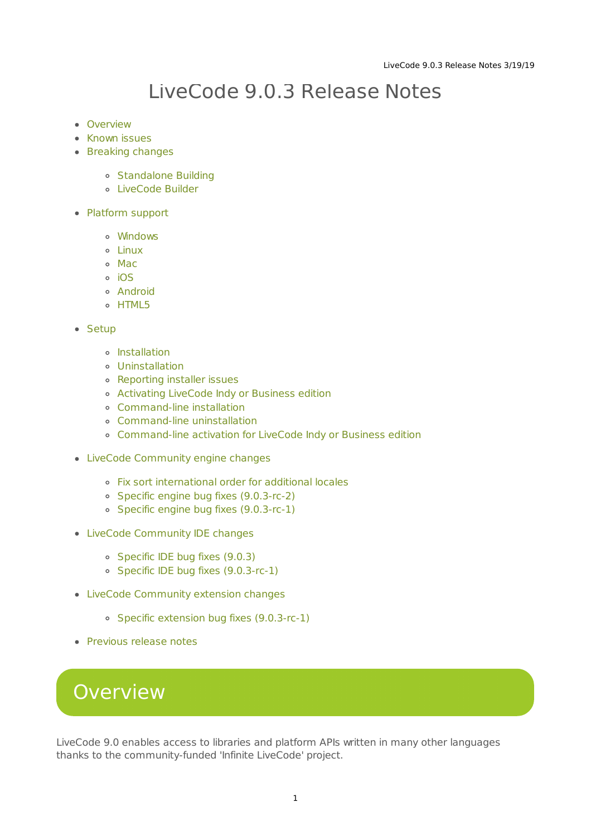## LiveCode 9.0.3 Release Notes

- [Overview](#page-0-0)
- **[Known](#page-1-0) issues**
- [Breaking](#page-1-1) changes
	- [Standalone](#page-1-2) Building
	- [LiveCode](#page-2-0) Builder
- [Platform](#page-2-1) support
	- [Windows](#page-2-2)
	- [Linux](#page-3-0)
	- [Mac](#page-3-1)
	- [iOS](#page-3-2)
	- [Android](#page-4-0)
	- o [HTML5](#page-4-1)
- [Setup](#page-5-0)
	- o [Installation](#page-5-1)
	- [Uninstallation](#page-5-2)
	- [Reporting](#page-6-0) installer issues
	- [Activating](#page-6-1) LiveCode Indy or Business edition
	- [Command-line](#page-6-2) installation
	- [Command-line](#page-7-0) uninstallation
	- [Command-line](#page-7-1) activation for LiveCode Indy or Business edition
- LiveCode [Community](#page-8-0) engine changes
	- Fix sort [international](#page-8-1) order for additional locales
	- Specific engine bug fixes [\(9.0.3-rc-2\)](#page-9-0)
	- Specific engine bug fixes [\(9.0.3-rc-1\)](#page-9-1)
- LiveCode [Community](#page-10-0) IDE changes
	- o [Specific](#page-10-1) IDE bug fixes (9.0.3)
	- Specific IDE bug fixes [\(9.0.3-rc-1\)](#page-11-0)
- LiveCode [Community](#page-11-1) extension changes
	- o Specific extension bug fixes [\(9.0.3-rc-1\)](#page-11-2)
- [Previous](#page-11-3) release notes

## <span id="page-0-0"></span>**Overview**

LiveCode 9.0 enables access to libraries and platform APIs written in many other languages thanks to the community-funded 'Infinite LiveCode' project.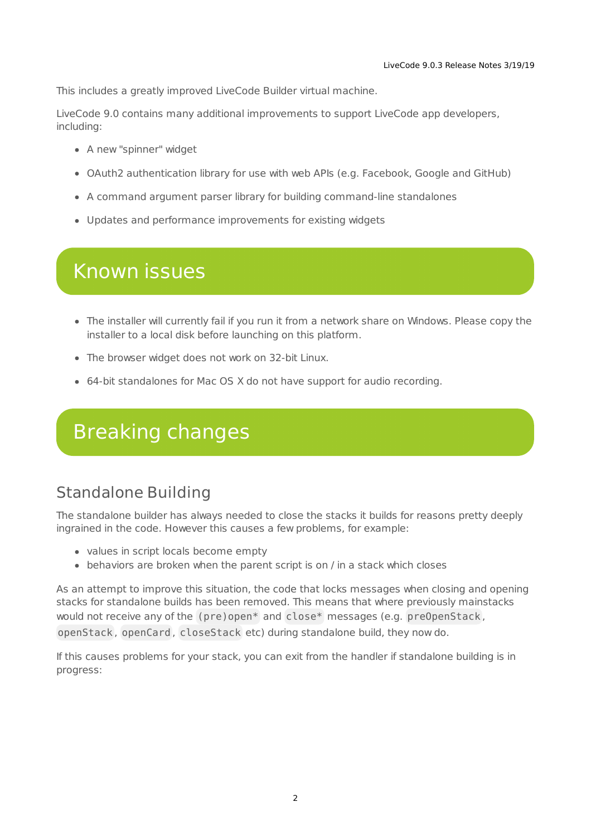This includes a greatly improved LiveCode Builder virtual machine.

LiveCode 9.0 contains many additional improvements to support LiveCode app developers, including:

- A new "spinner" widget
- OAuth2 authentication library for use with web APIs (e.g. Facebook, Google and GitHub)
- A command argument parser library for building command-line standalones
- Updates and performance improvements for existing widgets

## <span id="page-1-0"></span>Known issues

- The installer will currently fail if you run it from a network share on Windows. Please copy the installer to a local disk before launching on this platform.
- The browser widget does not work on 32-bit Linux.
- 64-bit standalones for Mac OS X do not have support for audio recording.

## <span id="page-1-1"></span>Breaking changes

## <span id="page-1-2"></span>Standalone Building

The standalone builder has always needed to close the stacks it builds for reasons pretty deeply ingrained in the code. However this causes a few problems, for example:

- values in script locals become empty
- behaviors are broken when the parent script is on / in a stack which closes

As an attempt to improve this situation, the code that locks messages when closing and opening stacks for standalone builds has been removed. This means that where previously mainstacks would not receive any of the (pre)open\* and close\* messages (e.g. preOpenStack , openStack , openCard , closeStack etc) during standalone build, they now do.

If this causes problems for your stack, you can exit from the handler if standalone building is in progress: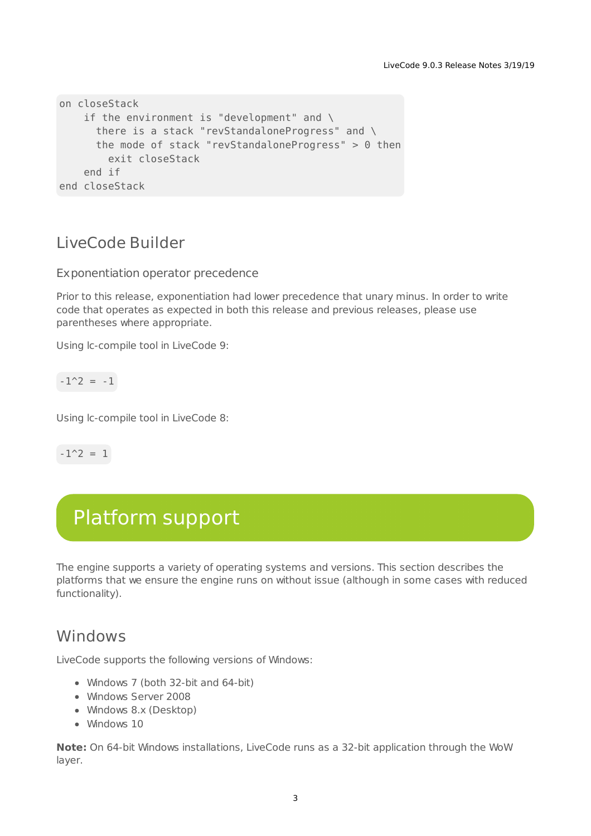```
on closeStack
   if the environment is "development" and \
      there is a stack "revStandaloneProgress" and \
      the mode of stack "revStandaloneProgress" > 0 then
        exit closeStack
   end if
end closeStack
```
#### <span id="page-2-0"></span>LiveCode Builder

Exponentiation operator precedence

Prior to this release, exponentiation had lower precedence that unary minus. In order to write code that operates as expected in both this release and previous releases, please use parentheses where appropriate.

Using lc-compile tool in LiveCode 9:

$$
-1^2 = -1
$$

Using lc-compile tool in LiveCode 8:

 $-1^2$  = 1

## <span id="page-2-1"></span>Platform support

The engine supports a variety of operating systems and versions. This section describes the platforms that we ensure the engine runs on without issue (although in some cases with reduced functionality).

#### <span id="page-2-2"></span>Windows

LiveCode supports the following versions of Windows:

- Windows 7 (both 32-bit and 64-bit)
- Windows Server 2008
- Windows 8.x (Desktop)
- Windows 10

**Note:** On 64-bit Windows installations, LiveCode runs as a 32-bit application through the WoW layer.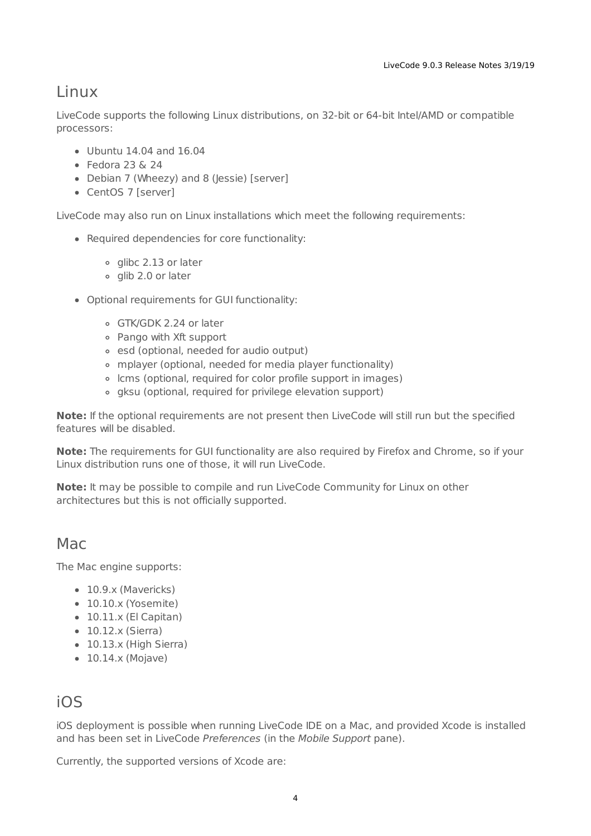#### <span id="page-3-0"></span>Linux

LiveCode supports the following Linux distributions, on 32-bit or 64-bit Intel/AMD or compatible processors:

- Ubuntu 14.04 and 16.04
- $\bullet$  Fedora 23 & 24
- Debian 7 (Wheezy) and 8 (Jessie) [server]
- CentOS 7 [server]

LiveCode may also run on Linux installations which meet the following requirements:

- Required dependencies for core functionality:
	- o glibc 2.13 or later
	- o glib 2.0 or later
- Optional requirements for GUI functionality:
	- GTK/GDK 2.24 or later
	- Pango with Xft support
	- o esd (optional, needed for audio output)
	- mplayer (optional, needed for media player functionality)
	- lcms (optional, required for color profile support in images)
	- gksu (optional, required for privilege elevation support)

**Note:** If the optional requirements are not present then LiveCode will still run but the specified features will be disabled.

**Note:** The requirements for GUI functionality are also required by Firefox and Chrome, so if your Linux distribution runs one of those, it will run LiveCode.

**Note:** It may be possible to compile and run LiveCode Community for Linux on other architectures but this is not officially supported.

#### <span id="page-3-1"></span>Mac

The Mac engine supports:

- 10.9.x (Mavericks)
- 10.10.x (Yosemite)
- 10.11.x (El Capitan)
- $\bullet$  10.12.x (Sierra)
- 10.13.x (High Sierra)
- $\bullet$  10.14.x (Mojave)

#### <span id="page-3-2"></span>iOS

iOS deployment is possible when running LiveCode IDE on a Mac, and provided Xcode is installed and has been set in LiveCode Preferences (in the Mobile Support pane).

Currently, the supported versions of Xcode are: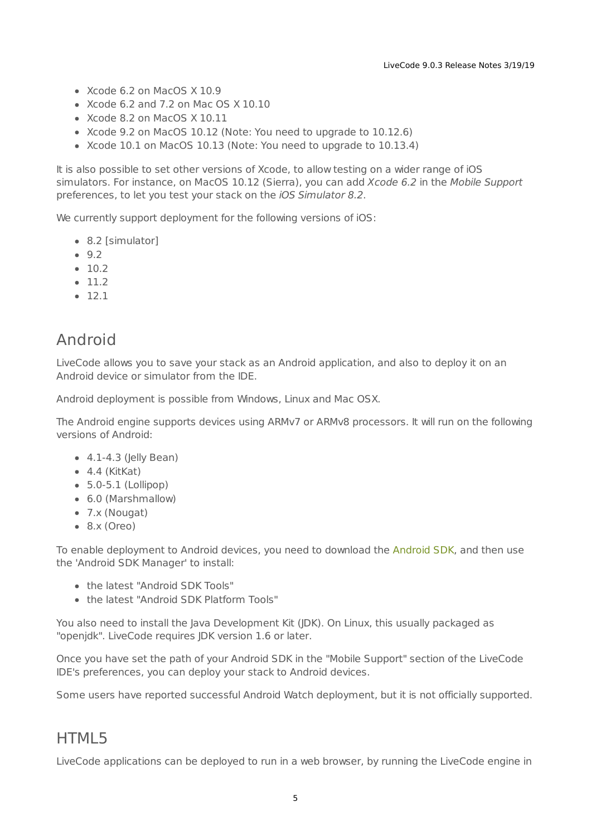- Xcode 6.2 on MacOS X 10.9
- $\bullet$  Xcode 6.2 and 7.2 on Mac OS  $\times$  10.10
- Xcode 8.2 on MacOS X 10.11
- Xcode 9.2 on MacOS 10.12 (Note: You need to upgrade to 10.12.6)
- Xcode 10.1 on MacOS 10.13 (Note: You need to upgrade to 10.13.4)

It is also possible to set other versions of Xcode, to allow testing on a wider range of iOS simulators. For instance, on MacOS 10.12 (Sierra), you can add Xcode 6.2 in the Mobile Support preferences, to let you test your stack on the iOS Simulator 8.2.

We currently support deployment for the following versions of iOS:

- 8.2 [simulator]
- $9.2$
- $-10.2$
- $11.2$
- $12.1$

#### <span id="page-4-0"></span>Android

LiveCode allows you to save your stack as an Android application, and also to deploy it on an Android device or simulator from the IDE.

Android deployment is possible from Windows, Linux and Mac OSX.

The Android engine supports devices using ARMv7 or ARMv8 processors. It will run on the following versions of Android:

- 4.1-4.3 (Jelly Bean)
- $-4.4$  (KitKat)
- $\bullet$  5.0-5.1 (Lollipop)
- 6.0 (Marshmallow)
- 7.x (Nougat)
- 8.x (Oreo)

To enable deployment to Android devices, you need to download the [Android](https://developer.android.com/sdk/index.html#Other) SDK, and then use the 'Android SDK Manager' to install:

- the latest "Android SDK Tools"
- the latest "Android SDK Platform Tools"

You also need to install the Java Development Kit (JDK). On Linux, this usually packaged as "openjdk". LiveCode requires JDK version 1.6 or later.

Once you have set the path of your Android SDK in the "Mobile Support" section of the LiveCode IDE's preferences, you can deploy your stack to Android devices.

Some users have reported successful Android Watch deployment, but it is not officially supported.

#### <span id="page-4-1"></span>HTML5

LiveCode applications can be deployed to run in a web browser, by running the LiveCode engine in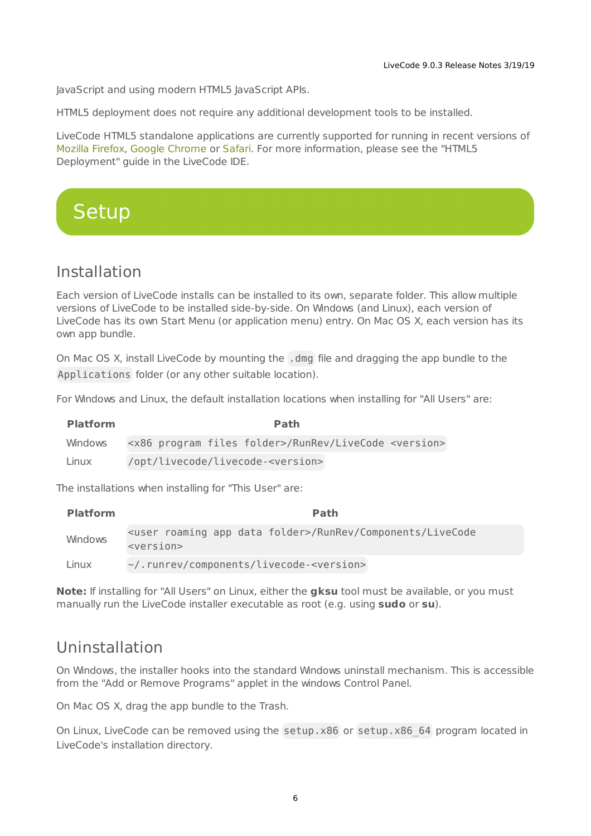JavaScript and using modern HTML5 JavaScript APIs.

HTML5 deployment does not require any additional development tools to be installed.

LiveCode HTML5 standalone applications are currently supported for running in recent versions of [Mozilla](https://www.mozilla.org/firefox/new/) Firefox, Google [Chrome](https://www.google.com/chrome/) or [Safari](https://support.apple.com/HT204416). For more information, please see the "HTML5 Deployment" guide in the LiveCode IDE.

## <span id="page-5-0"></span>**Setup**

#### <span id="page-5-1"></span>Installation

Each version of LiveCode installs can be installed to its own, separate folder. This allow multiple versions of LiveCode to be installed side-by-side. On Windows (and Linux), each version of LiveCode has its own Start Menu (or application menu) entry. On Mac OS X, each version has its own app bundle.

On Mac OS X, install LiveCode by mounting the .dmg file and dragging the app bundle to the Applications folder (or any other suitable location).

For Windows and Linux, the default installation locations when installing for "All Users" are:

| <b>Platform</b> | Path                                                                          |
|-----------------|-------------------------------------------------------------------------------|
| Windows         | <x86 files="" folder="" program="">/RunRev/LiveCode <version></version></x86> |
| Linux           | /opt/livecode/livecode- <version></version>                                   |

The installations when installing for "This User" are:

| <b>Platform</b> | <b>Path</b>                                                                                          |
|-----------------|------------------------------------------------------------------------------------------------------|
| Windows         | <user app="" data="" folder="" roaming="">/RunRev/Components/LiveCode<br/><version></version></user> |
| Linux           | ~/.runrev/components/livecode- <version></version>                                                   |

**Note:** If installing for "All Users" on Linux, either the **gksu** tool must be available, or you must manually run the LiveCode installer executable as root (e.g. using **sudo** or **su**).

#### <span id="page-5-2"></span>Uninstallation

On Windows, the installer hooks into the standard Windows uninstall mechanism. This is accessible from the "Add or Remove Programs" applet in the windows Control Panel.

On Mac OS X, drag the app bundle to the Trash.

On Linux, LiveCode can be removed using the setup.x86 or setup.x86 64 program located in LiveCode's installation directory.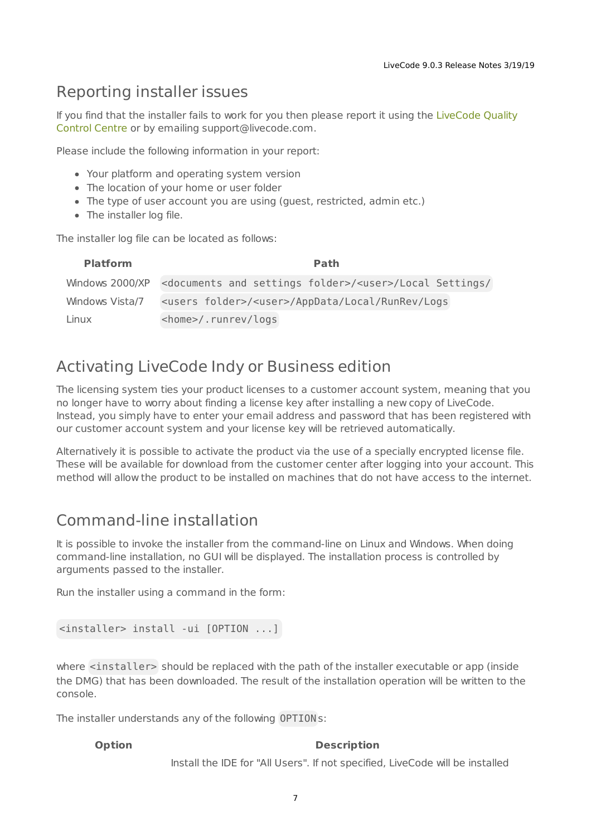#### <span id="page-6-0"></span>Reporting installer issues

If you find that the installer fails to work for you then please report it using the LiveCode Quality Control Centre or by emailing [support@livecode.com.](http://quality.livecode.com)

Please include the following information in your report:

- Your platform and operating system version
- The location of your home or user folder
- The type of user account you are using (guest, restricted, admin etc.)
- The installer log file.

The installer log file can be located as follows:

| <b>Platform</b> | <b>Path</b>                                                                                        |
|-----------------|----------------------------------------------------------------------------------------------------|
|                 | Windows 2000/XP <documents and="" folder="" settings="">/<user>/Local Settings/</user></documents> |
| Windows Vista/7 | <users folder="">/<user>/AppData/Local/RunRev/Logs</user></users>                                  |
| Linux           | <home>/.runrev/logs</home>                                                                         |

#### <span id="page-6-1"></span>Activating LiveCode Indy or Business edition

The licensing system ties your product licenses to a customer account system, meaning that you no longer have to worry about finding a license key after installing a new copy of LiveCode. Instead, you simply have to enter your email address and password that has been registered with our customer account system and your license key will be retrieved automatically.

Alternatively it is possible to activate the product via the use of a specially encrypted license file. These will be available for download from the customer center after logging into your account. This method will allow the product to be installed on machines that do not have access to the internet.

#### <span id="page-6-2"></span>Command-line installation

It is possible to invoke the installer from the command-line on Linux and Windows. When doing command-line installation, no GUI will be displayed. The installation process is controlled by arguments passed to the installer.

Run the installer using a command in the form:

```
<installer> install -ui [OPTION ...]
```
where <installer> should be replaced with the path of the installer executable or app (inside the DMG) that has been downloaded. The result of the installation operation will be written to the console.

The installer understands any of the following OPTION s:

#### **Option Description**

Install the IDE for "All Users". If not specified, LiveCode will be installed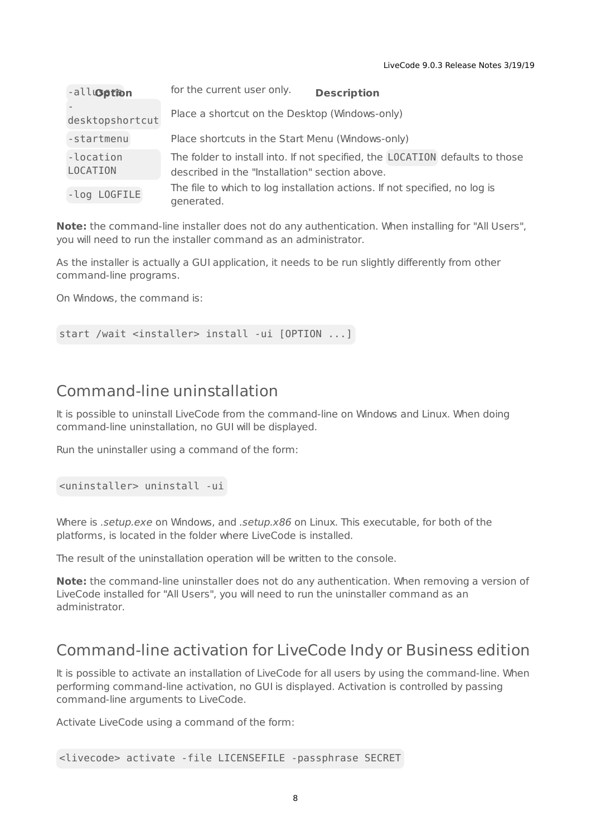| -all <b>option</b>           | for the current user only.<br><b>Description</b>                                                                               |
|------------------------------|--------------------------------------------------------------------------------------------------------------------------------|
| desktopshortcut              | Place a shortcut on the Desktop (Windows-only)                                                                                 |
| -startmenu                   | Place shortcuts in the Start Menu (Windows-only)                                                                               |
| -location<br><b>LOCATION</b> | The folder to install into. If not specified, the LOCATION defaults to those<br>described in the "Installation" section above. |
| -log LOGFILE                 | The file to which to log installation actions. If not specified, no log is<br>generated.                                       |

**Note:** the command-line installer does not do any authentication. When installing for "All Users", you will need to run the installer command as an administrator.

As the installer is actually a GUI application, it needs to be run slightly differently from other command-line programs.

On Windows, the command is:

start /wait <installer> install -ui [OPTION ...]

#### <span id="page-7-0"></span>Command-line uninstallation

It is possible to uninstall LiveCode from the command-line on Windows and Linux. When doing command-line uninstallation, no GUI will be displayed.

Run the uninstaller using a command of the form:

<uninstaller> uninstall -ui

Where is .setup.exe on Windows, and .setup.x86 on Linux. This executable, for both of the platforms, is located in the folder where LiveCode is installed.

The result of the uninstallation operation will be written to the console.

**Note:** the command-line uninstaller does not do any authentication. When removing a version of LiveCode installed for "All Users", you will need to run the uninstaller command as an administrator.

#### <span id="page-7-1"></span>Command-line activation for LiveCode Indy or Business edition

It is possible to activate an installation of LiveCode for all users by using the command-line. When performing command-line activation, no GUI is displayed. Activation is controlled by passing command-line arguments to LiveCode.

Activate LiveCode using a command of the form:

```
<livecode> activate -file LICENSEFILE -passphrase SECRET
```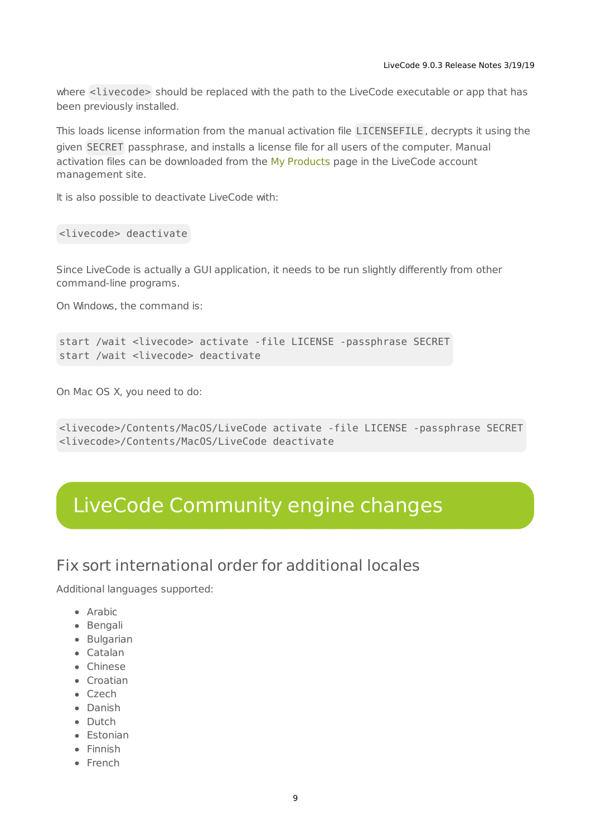where <livecode> should be replaced with the path to the LiveCode executable or app that has been previously installed.

This loads license information from the manual activation file LICENSEFILE , decrypts it using the given SECRET passphrase, and installs a license file for all users of the computer. Manual activation files can be downloaded from the My [Products](https://livecode.com/account/products/livecode) page in the LiveCode account management site.

It is also possible to deactivate LiveCode with:

<livecode> deactivate

Since LiveCode is actually a GUI application, it needs to be run slightly differently from other command-line programs.

On Windows, the command is:

```
start /wait <livecode> activate -file LICENSE -passphrase SECRET
start /wait <livecode> deactivate
```
On Mac OS X, you need to do:

```
<livecode>/Contents/MacOS/LiveCode activate -file LICENSE -passphrase SECRET
<livecode>/Contents/MacOS/LiveCode deactivate
```
## <span id="page-8-0"></span>LiveCode Community engine changes

<span id="page-8-1"></span>Fix sort international order for additional locales

Additional languages supported:

- Arabic
- Bengali
- Bulgarian
- Catalan
- Chinese
- Croatian
- Czech
- Danish
- Dutch
- Estonian
- Finnish
- French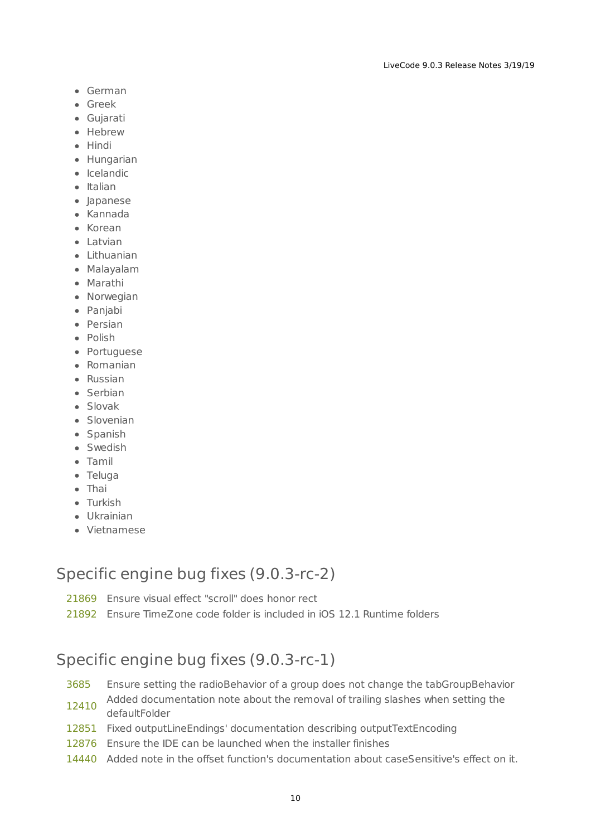- German
- Greek
- Gujarati
- Hebrew
- Hindi
- Hungarian
- Icelandic
- Italian
- Japanese
- Kannada
- Korean
- Latvian
- Lithuanian
- Malayalam
- Marathi
- Norwegian
- Panjabi
- Persian
- Polish
- Portuguese
- Romanian
- Russian
- Serbian
- Slovak
- Slovenian
- Spanish
- Swedish
- Tamil
- Teluga
- Thai
- Turkish
- Ukrainian
- Vietnamese

#### <span id="page-9-0"></span>Specific engine bug fixes (9.0.3-rc-2)

- [21869](http://quality.livecode.com/show_bug.cgi?id=21869) Ensure visual effect "scroll" does honor rect
- [21892](http://quality.livecode.com/show_bug.cgi?id=21892) Ensure TimeZone code folder is included in iOS 12.1 Runtime folders

#### <span id="page-9-1"></span>Specific engine bug fixes (9.0.3-rc-1)

- [3685](http://quality.livecode.com/show_bug.cgi?id=3685) Ensure setting the radioBehavior of a group does not change the tabGroupBehavior
- [12410](http://quality.livecode.com/show_bug.cgi?id=12410) Added documentation note about the removal of trailing slashes when setting the defaultFolder
- [12851](http://quality.livecode.com/show_bug.cgi?id=12851) Fixed outputLineEndings' documentation describing outputTextEncoding
- [12876](http://quality.livecode.com/show_bug.cgi?id=12876) Ensure the IDE can be launched when the installer finishes
- [14440](http://quality.livecode.com/show_bug.cgi?id=14440) Added note in the offset function's documentation about caseSensitive's effect on it.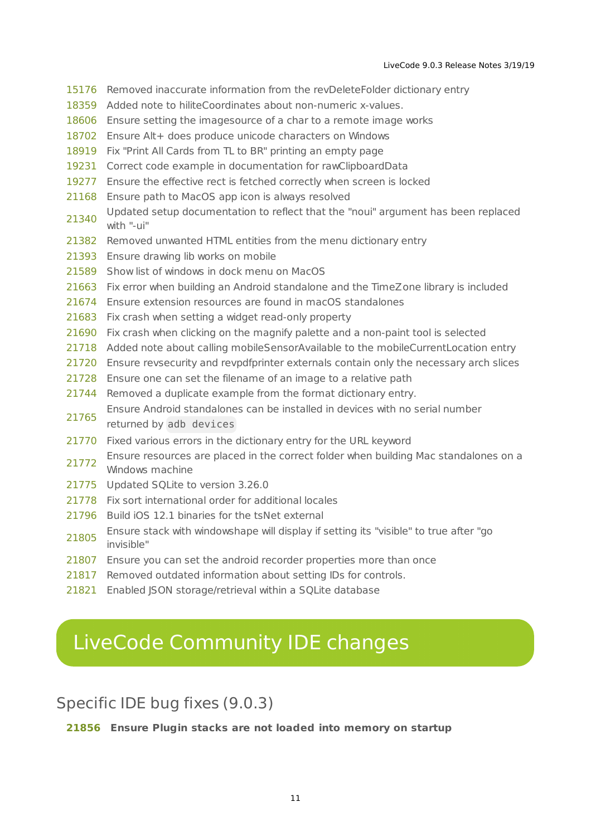- Removed inaccurate information from the revDeleteFolder dictionary entry
- Added note to hiliteCoordinates about non-numeric x-values.
- Ensure setting the imagesource of a char to a remote image works
- Ensure Alt+ does produce unicode characters on Windows
- Fix "Print All Cards from TL to BR" printing an empty page
- Correct code example in documentation for rawClipboardData
- Ensure the effective rect is fetched correctly when screen is locked
- Ensure path to MacOS app icon is always resolved
- Updated setup documentation to reflect that the "noui" argument has been replaced<br>21340 Updated Setup documentation to reflect that the "noui" argument has been replaced with "-ui"
- Removed unwanted HTML entities from the menu dictionary entry
- Ensure drawing lib works on mobile
- Show list of windows in dock menu on MacOS
- Fix error when building an Android standalone and the TimeZone library is included
- Ensure extension resources are found in macOS standalones
- Fix crash when setting a widget read-only property
- Fix crash when clicking on the magnify palette and a non-paint tool is selected
- Added note about calling mobileSensorAvailable to the mobileCurrentLocation entry
- Ensure revsecurity and revpdfprinter externals contain only the necessary arch slices
- Ensure one can set the filename of an image to a relative path
- Removed a duplicate example from the format dictionary entry.
- Ensure Android standalones can be installed in devices with no serial number returned by adb devices
- Fixed various errors in the dictionary entry for the URL keyword
- Ensure resources are placed in the correct folder when building Mac standalones on a 21772 Windows machine
- Updated SQLite to version 3.26.0
- Fix sort international order for additional locales
- Build iOS 12.1 binaries for the tsNet external
- Ensure stack with windowshape will display if setting its "visible" to true after "go invisible"
- Ensure you can set the android recorder properties more than once
- Removed outdated information about setting IDs for controls.
- Enabled JSON storage/retrieval within a SQLite database

## <span id="page-10-0"></span>LiveCode Community IDE changes

#### <span id="page-10-1"></span>Specific IDE bug fixes (9.0.3)

**Ensure Plugin stacks are not loaded into memory on startup**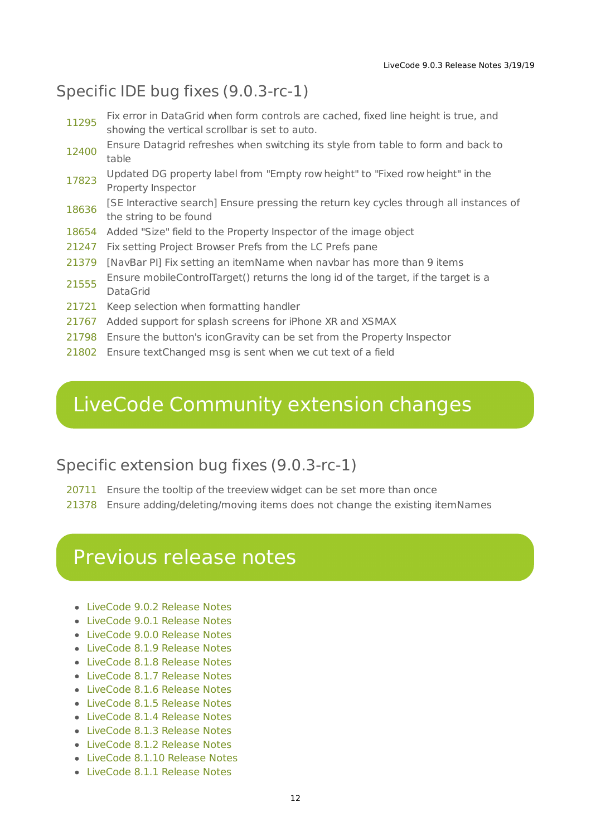#### <span id="page-11-0"></span>Specific IDE bug fixes (9.0.3-rc-1)

| 11295 | Fix error in DataGrid when form controls are cached, fixed line height is true, and<br>showing the vertical scrollbar is set to auto. |
|-------|---------------------------------------------------------------------------------------------------------------------------------------|
| 12400 | Ensure Datagrid refreshes when switching its style from table to form and back to<br>table                                            |
| 17823 | Updated DG property label from "Empty row height" to "Fixed row height" in the<br>Property Inspector                                  |
| 18636 | [SE Interactive search] Ensure pressing the return key cycles through all instances of<br>the string to be found                      |
| 18654 | Added "Size" field to the Property Inspector of the image object                                                                      |
| 21247 | Fix setting Project Browser Prefs from the LC Prefs pane                                                                              |
| 21379 | [NavBar PI] Fix setting an itemName when navbar has more than 9 items                                                                 |
| 21555 | Ensure mobileControlTarget() returns the long id of the target, if the target is a<br>DataGrid                                        |
| 21721 | Keep selection when formatting handler                                                                                                |
| 21767 | Added support for splash screens for iPhone XR and XSMAX                                                                              |
| 21798 | Ensure the button's iconGravity can be set from the Property Inspector                                                                |
| 21802 | Ensure textChanged msg is sent when we cut text of a field                                                                            |
|       |                                                                                                                                       |

# <span id="page-11-1"></span>LiveCode Community extension changes

## <span id="page-11-2"></span>Specific extension bug fixes (9.0.3-rc-1)

[20711](http://quality.livecode.com/show_bug.cgi?id=20711) Ensure the tooltip of the treeview widget can be set more than once

[21378](http://quality.livecode.com/show_bug.cgi?id=21378) Ensure adding/deleting/moving items does not change the existing itemNames

## <span id="page-11-3"></span>Previous release notes

- [LiveCode](https://downloads.livecode.com/livecode/9_0_2/LiveCodeNotes-9_0_2.pdf) 9.0.2 Release Notes
- [LiveCode](https://downloads.livecode.com/livecode/9_0_1/LiveCodeNotes-9_0_1.pdf) 9.0.1 Release Notes
- [LiveCode](https://downloads.livecode.com/livecode/9_0_0/LiveCodeNotes-9_0_0.pdf) 9.0.0 Release Notes
- [LiveCode](https://downloads.livecode.com/livecode/8_1_9/LiveCodeNotes-8_1_9.pdf) 8.1.9 Release Notes
- [LiveCode](https://downloads.livecode.com/livecode/8_1_8/LiveCodeNotes-8_1_8.pdf) 8.1.8 Release Notes
- [LiveCode](https://downloads.livecode.com/livecode/8_1_7/LiveCodeNotes-8_1_7.pdf) 8.1.7 Release Notes
- [LiveCode](https://downloads.livecode.com/livecode/8_1_6/LiveCodeNotes-8_1_6.pdf) 8.1.6 Release Notes
- [LiveCode](https://downloads.livecode.com/livecode/8_1_5/LiveCodeNotes-8_1_5.pdf) 8.1.5 Release Notes
- [LiveCode](https://downloads.livecode.com/livecode/8_1_4/LiveCodeNotes-8_1_4.pdf) 8.1.4 Release Notes
- [LiveCode](https://downloads.livecode.com/livecode/8_1_3/LiveCodeNotes-8_1_3.pdf) 8.1.3 Release Notes
- [LiveCode](https://downloads.livecode.com/livecode/8_1_2/LiveCodeNotes-8_1_2.pdf) 8.1.2 Release Notes
- [LiveCode](https://downloads.livecode.com/livecode/8_1_10/LiveCodeNotes-8_1_10.pdf) 8.1.10 Release Notes
- [LiveCode](https://downloads.livecode.com/livecode/8_1_1/LiveCodeNotes-8_1_1.pdf) 8.1.1 Release Notes